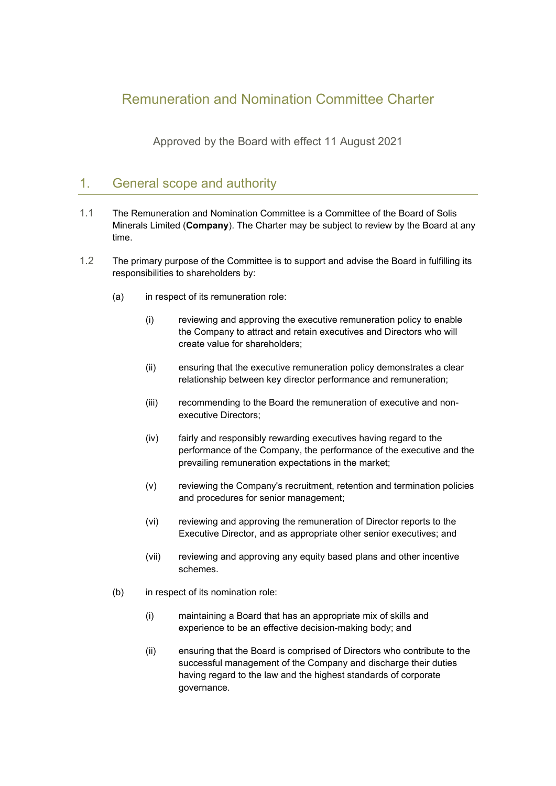# Remuneration and Nomination Committee Charter

Approved by the Board with effect 11 August 2021

# 1. General scope and authority

- 1.1 The Remuneration and Nomination Committee is a Committee of the Board of Solis Minerals Limited (**Company**). The Charter may be subject to review by the Board at any time.
- 1.2 The primary purpose of the Committee is to support and advise the Board in fulfilling its responsibilities to shareholders by:
	- (a) in respect of its remuneration role:
		- (i) reviewing and approving the executive remuneration policy to enable the Company to attract and retain executives and Directors who will create value for shareholders;
		- (ii) ensuring that the executive remuneration policy demonstrates a clear relationship between key director performance and remuneration;
		- (iii) recommending to the Board the remuneration of executive and nonexecutive Directors;
		- (iv) fairly and responsibly rewarding executives having regard to the performance of the Company, the performance of the executive and the prevailing remuneration expectations in the market;
		- (v) reviewing the Company's recruitment, retention and termination policies and procedures for senior management;
		- (vi) reviewing and approving the remuneration of Director reports to the Executive Director, and as appropriate other senior executives; and
		- (vii) reviewing and approving any equity based plans and other incentive schemes.
	- (b) in respect of its nomination role:
		- (i) maintaining a Board that has an appropriate mix of skills and experience to be an effective decision-making body; and
		- (ii) ensuring that the Board is comprised of Directors who contribute to the successful management of the Company and discharge their duties having regard to the law and the highest standards of corporate governance.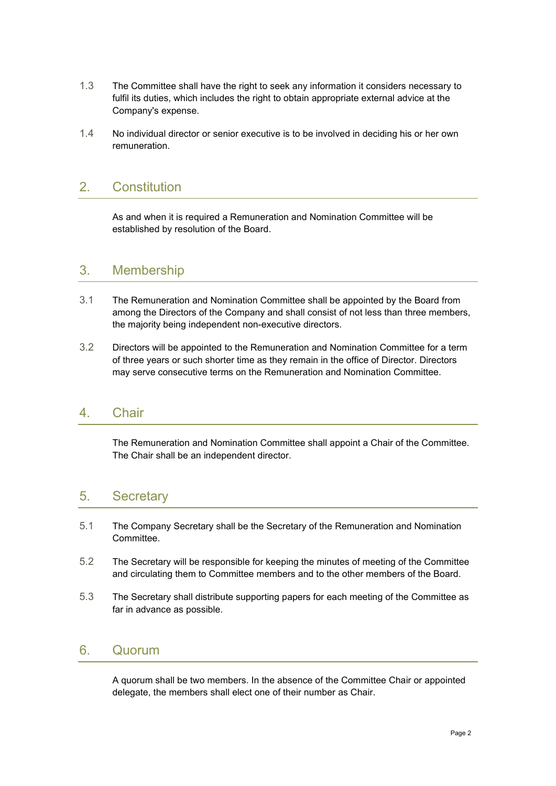- 1.3 The Committee shall have the right to seek any information it considers necessary to fulfil its duties, which includes the right to obtain appropriate external advice at the Company's expense.
- 1.4 No individual director or senior executive is to be involved in deciding his or her own remuneration.

### 2. Constitution

As and when it is required a Remuneration and Nomination Committee will be established by resolution of the Board.

#### 3. Membership

- 3.1 The Remuneration and Nomination Committee shall be appointed by the Board from among the Directors of the Company and shall consist of not less than three members, the majority being independent non-executive directors.
- 3.2 Directors will be appointed to the Remuneration and Nomination Committee for a term of three years or such shorter time as they remain in the office of Director. Directors may serve consecutive terms on the Remuneration and Nomination Committee.

#### 4. Chair

The Remuneration and Nomination Committee shall appoint a Chair of the Committee. The Chair shall be an independent director.

### 5. Secretary

- 5.1 The Company Secretary shall be the Secretary of the Remuneration and Nomination Committee.
- 5.2 The Secretary will be responsible for keeping the minutes of meeting of the Committee and circulating them to Committee members and to the other members of the Board.
- 5.3 The Secretary shall distribute supporting papers for each meeting of the Committee as far in advance as possible.

### 6. Quorum

A quorum shall be two members. In the absence of the Committee Chair or appointed delegate, the members shall elect one of their number as Chair.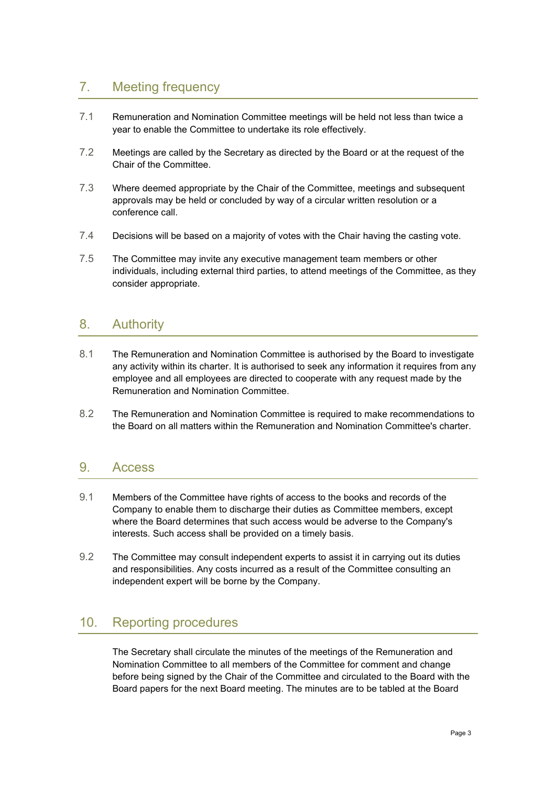# 7. Meeting frequency

- 7.1 Remuneration and Nomination Committee meetings will be held not less than twice a year to enable the Committee to undertake its role effectively.
- 7.2 Meetings are called by the Secretary as directed by the Board or at the request of the Chair of the Committee.
- 7.3 Where deemed appropriate by the Chair of the Committee, meetings and subsequent approvals may be held or concluded by way of a circular written resolution or a conference call.
- 7.4 Decisions will be based on a majority of votes with the Chair having the casting vote.
- 7.5 The Committee may invite any executive management team members or other individuals, including external third parties, to attend meetings of the Committee, as they consider appropriate.

### 8. Authority

- 8.1 The Remuneration and Nomination Committee is authorised by the Board to investigate any activity within its charter. It is authorised to seek any information it requires from any employee and all employees are directed to cooperate with any request made by the Remuneration and Nomination Committee.
- 8.2 The Remuneration and Nomination Committee is required to make recommendations to the Board on all matters within the Remuneration and Nomination Committee's charter.

### 9. Access

- 9.1 Members of the Committee have rights of access to the books and records of the Company to enable them to discharge their duties as Committee members, except where the Board determines that such access would be adverse to the Company's interests. Such access shall be provided on a timely basis.
- 9.2 The Committee may consult independent experts to assist it in carrying out its duties and responsibilities. Any costs incurred as a result of the Committee consulting an independent expert will be borne by the Company.

# 10. Reporting procedures

The Secretary shall circulate the minutes of the meetings of the Remuneration and Nomination Committee to all members of the Committee for comment and change before being signed by the Chair of the Committee and circulated to the Board with the Board papers for the next Board meeting. The minutes are to be tabled at the Board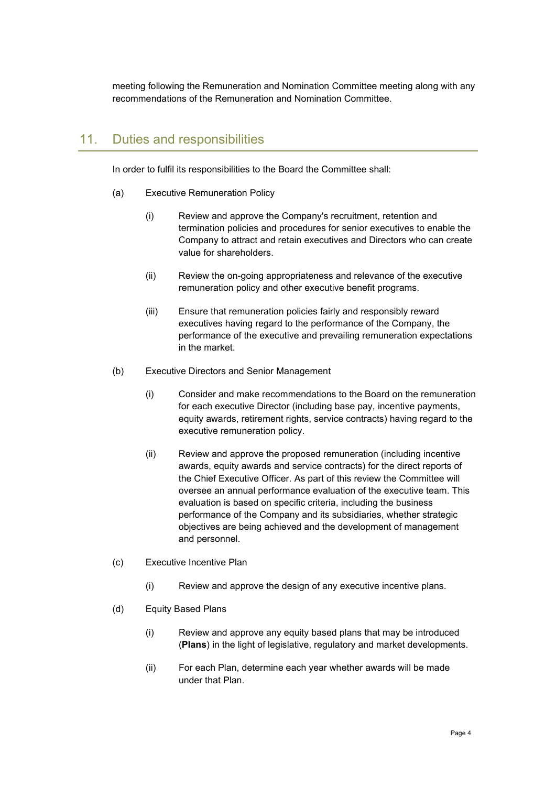meeting following the Remuneration and Nomination Committee meeting along with any recommendations of the Remuneration and Nomination Committee.

### 11. Duties and responsibilities

In order to fulfil its responsibilities to the Board the Committee shall:

- (a) Executive Remuneration Policy
	- (i) Review and approve the Company's recruitment, retention and termination policies and procedures for senior executives to enable the Company to attract and retain executives and Directors who can create value for shareholders.
	- (ii) Review the on-going appropriateness and relevance of the executive remuneration policy and other executive benefit programs.
	- (iii) Ensure that remuneration policies fairly and responsibly reward executives having regard to the performance of the Company, the performance of the executive and prevailing remuneration expectations in the market.
- <span id="page-3-0"></span>(b) Executive Directors and Senior Management
	- (i) Consider and make recommendations to the Board on the remuneration for each executive Director (including base pay, incentive payments, equity awards, retirement rights, service contracts) having regard to the executive remuneration policy.
	- (ii) Review and approve the proposed remuneration (including incentive awards, equity awards and service contracts) for the direct reports of the Chief Executive Officer. As part of this review the Committee will oversee an annual performance evaluation of the executive team. This evaluation is based on specific criteria, including the business performance of the Company and its subsidiaries, whether strategic objectives are being achieved and the development of management and personnel.
- (c) Executive Incentive Plan
	- (i) Review and approve the design of any executive incentive plans.
- (d) Equity Based Plans
	- (i) Review and approve any equity based plans that may be introduced (**Plans**) in the light of legislative, regulatory and market developments.
	- (ii) For each Plan, determine each year whether awards will be made under that Plan.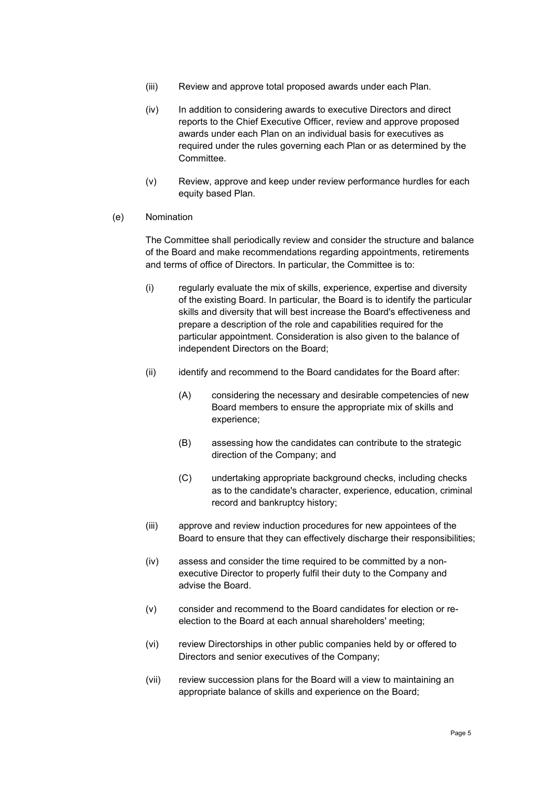- (iii) Review and approve total proposed awards under each Plan.
- (iv) In addition to considering awards to executive Directors and direct reports to the Chief Executive Officer, review and approve proposed awards under each Plan on an individual basis for executives as required under the rules governing each Plan or as determined by the Committee.
- (v) Review, approve and keep under review performance hurdles for each equity based Plan.
- (e) Nomination

The Committee shall periodically review and consider the structure and balance of the Board and make recommendations regarding appointments, retirements and terms of office of Directors. In particular, the Committee is to:

- (i) regularly evaluate the mix of skills, experience, expertise and diversity of the existing Board. In particular, the Board is to identify the particular skills and diversity that will best increase the Board's effectiveness and prepare a description of the role and capabilities required for the particular appointment. Consideration is also given to the balance of independent Directors on the Board;
- (ii) identify and recommend to the Board candidates for the Board after:
	- (A) considering the necessary and desirable competencies of new Board members to ensure the appropriate mix of skills and experience;
	- (B) assessing how the candidates can contribute to the strategic direction of the Company; and
	- (C) undertaking appropriate background checks, including checks as to the candidate's character, experience, education, criminal record and bankruptcy history;
- (iii) approve and review induction procedures for new appointees of the Board to ensure that they can effectively discharge their responsibilities;
- (iv) assess and consider the time required to be committed by a nonexecutive Director to properly fulfil their duty to the Company and advise the Board.
- (v) consider and recommend to the Board candidates for election or reelection to the Board at each annual shareholders' meeting;
- (vi) review Directorships in other public companies held by or offered to Directors and senior executives of the Company;
- (vii) review succession plans for the Board will a view to maintaining an appropriate balance of skills and experience on the Board;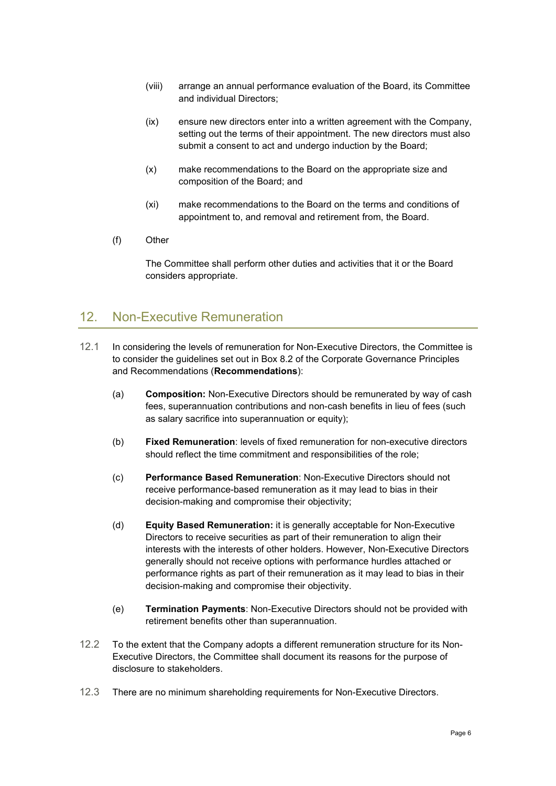- (viii) arrange an annual performance evaluation of the Board, its Committee and individual Directors;
- (ix) ensure new directors enter into a written agreement with the Company, setting out the terms of their appointment. The new directors must also submit a consent to act and undergo induction by the Board;
- (x) make recommendations to the Board on the appropriate size and composition of the Board; and
- (xi) make recommendations to the Board on the terms and conditions of appointment to, and removal and retirement from, the Board.
- (f) Other

The Committee shall perform other duties and activities that it or the Board considers appropriate.

# 12. Non-Executive Remuneration

- 12.1 In considering the levels of remuneration for Non-Executive Directors, the Committee is to consider the guidelines set out in Box 8.2 of the Corporate Governance Principles and Recommendations (**Recommendations**):
	- (a) **Composition:** Non-Executive Directors should be remunerated by way of cash fees, superannuation contributions and non-cash benefits in lieu of fees (such as salary sacrifice into superannuation or equity);
	- (b) **Fixed Remuneration**: levels of fixed remuneration for non-executive directors should reflect the time commitment and responsibilities of the role;
	- (c) **Performance Based Remuneration**: Non-Executive Directors should not receive performance-based remuneration as it may lead to bias in their decision-making and compromise their objectivity;
	- (d) **Equity Based Remuneration:** it is generally acceptable for Non-Executive Directors to receive securities as part of their remuneration to align their interests with the interests of other holders. However, Non-Executive Directors generally should not receive options with performance hurdles attached or performance rights as part of their remuneration as it may lead to bias in their decision-making and compromise their objectivity.
	- (e) **Termination Payments**: Non-Executive Directors should not be provided with retirement benefits other than superannuation.
- 12.2 To the extent that the Company adopts a different remuneration structure for its Non-Executive Directors, the Committee shall document its reasons for the purpose of disclosure to stakeholders.
- 12.3 There are no minimum shareholding requirements for Non-Executive Directors.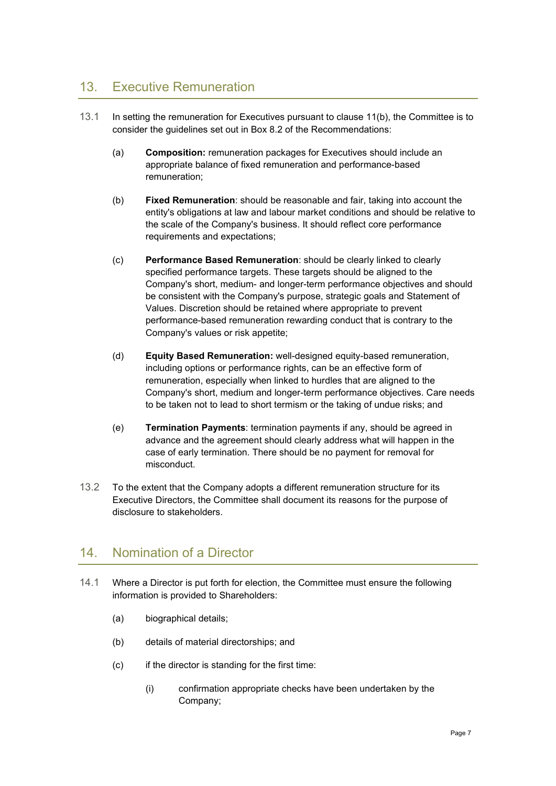# 13. Executive Remuneration

- 13.1 In setting the remuneration for Executives pursuant to clause [11\(b\),](#page-3-0) the Committee is to consider the guidelines set out in Box 8.2 of the Recommendations:
	- (a) **Composition:** remuneration packages for Executives should include an appropriate balance of fixed remuneration and performance-based remuneration;
	- (b) **Fixed Remuneration**: should be reasonable and fair, taking into account the entity's obligations at law and labour market conditions and should be relative to the scale of the Company's business. It should reflect core performance requirements and expectations;
	- (c) **Performance Based Remuneration**: should be clearly linked to clearly specified performance targets. These targets should be aligned to the Company's short, medium- and longer-term performance objectives and should be consistent with the Company's purpose, strategic goals and Statement of Values. Discretion should be retained where appropriate to prevent performance-based remuneration rewarding conduct that is contrary to the Company's values or risk appetite;
	- (d) **Equity Based Remuneration:** well-designed equity-based remuneration, including options or performance rights, can be an effective form of remuneration, especially when linked to hurdles that are aligned to the Company's short, medium and longer-term performance objectives. Care needs to be taken not to lead to short termism or the taking of undue risks; and
	- (e) **Termination Payments**: termination payments if any, should be agreed in advance and the agreement should clearly address what will happen in the case of early termination. There should be no payment for removal for misconduct.
- 13.2 To the extent that the Company adopts a different remuneration structure for its Executive Directors, the Committee shall document its reasons for the purpose of disclosure to stakeholders.

# 14. Nomination of a Director

- 14.1 Where a Director is put forth for election, the Committee must ensure the following information is provided to Shareholders:
	- (a) biographical details;
	- (b) details of material directorships; and
	- (c) if the director is standing for the first time:
		- (i) confirmation appropriate checks have been undertaken by the Company;